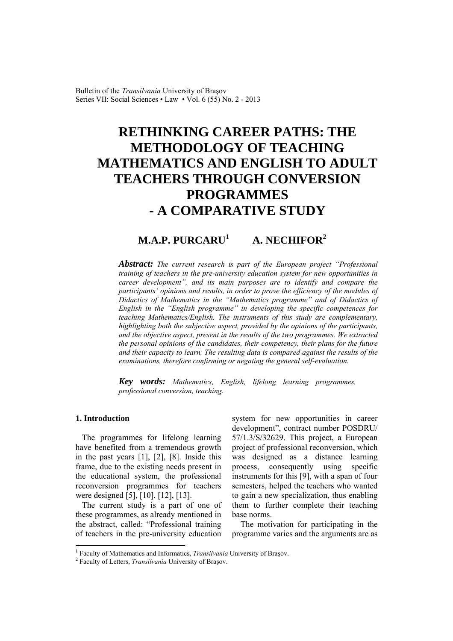Bulletin of the *Transilvania* University of Braşov Series VII: Social Sciences • Law • Vol. 6 (55) No. 2 - 2013

# **RETHINKING CAREER PATHS: THE METHODOLOGY OF TEACHING MATHEMATICS AND ENGLISH TO ADULT TEACHERS THROUGH CONVERSION PROGRAMMES - A COMPARATIVE STUDY**

# **M.A.P. PURCARU<sup>1</sup> A. NECHIFOR<sup>2</sup>**

*Abstract: The current research is part of the European project "Professional training of teachers in the pre-university education system for new opportunities in career development", and its main purposes are to identify and compare the participants' opinions and results, in order to prove the efficiency of the modules of Didactics of Mathematics in the "Mathematics programme" and of Didactics of English in the "English programme" in developing the specific competences for teaching Mathematics/English. The instruments of this study are complementary, highlighting both the subjective aspect, provided by the opinions of the participants, and the objective aspect, present in the results of the two programmes. We extracted the personal opinions of the candidates, their competency, their plans for the future and their capacity to learn. The resulting data is compared against the results of the examinations, therefore confirming or negating the general self-evaluation.* 

*Key words: Mathematics, English, lifelong learning programmes, professional conversion, teaching.*

#### **1. Introduction**

 $\overline{a}$ 

The programmes for lifelong learning have benefited from a tremendous growth in the past years [1], [2], [8]. Inside this frame, due to the existing needs present in the educational system, the professional reconversion programmes for teachers were designed [5], [10], [12], [13].

The current study is a part of one of these programmes, as already mentioned in the abstract, called: "Professional training of teachers in the pre-university education system for new opportunities in career development", contract number POSDRU/ 57/1.3/S/32629. This project, a European project of professional reconversion, which was designed as a distance learning process, consequently using specific instruments for this [9], with a span of four semesters, helped the teachers who wanted to gain a new specialization, thus enabling them to further complete their teaching base norms.

 The motivation for participating in the programme varies and the arguments are as

<sup>&</sup>lt;sup>1</sup> Faculty of Mathematics and Informatics, *Transilvania* University of Braşov.

Faculty of Letters, *Transilvania* University of Braşov.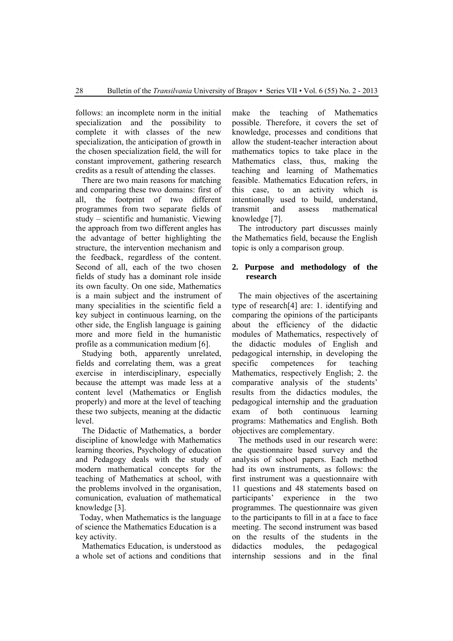follows: an incomplete norm in the initial specialization and the possibility to complete it with classes of the new specialization, the anticipation of growth in the chosen specialization field, the will for constant improvement, gathering research credits as a result of attending the classes.

There are two main reasons for matching and comparing these two domains: first of all, the footprint of two different programmes from two separate fields of study – scientific and humanistic. Viewing the approach from two different angles has the advantage of better highlighting the structure, the intervention mechanism and the feedback, regardless of the content. Second of all, each of the two chosen fields of study has a dominant role inside its own faculty. On one side, Mathematics is a main subject and the instrument of many specialities in the scientific field a key subject in continuous learning, on the other side, the English language is gaining more and more field in the humanistic profile as a communication medium [6].

Studying both, apparently unrelated, fields and correlating them, was a great exercise in interdisciplinary, especially because the attempt was made less at a content level (Mathematics or English properly) and more at the level of teaching these two subjects, meaning at the didactic level.

The Didactic of Mathematics, a border discipline of knowledge with Mathematics learning theories, Psychology of education and Pedagogy deals with the study of modern mathematical concepts for the teaching of Mathematics at school, with the problems involved in the organisation, comunication, evaluation of mathematical knowledge [3].

 Today, when Mathematics is the language of science the Mathematics Education is a key activity.

Mathematics Education, is understood as a whole set of actions and conditions that

make the teaching of Mathematics possible. Therefore, it covers the set of knowledge, processes and conditions that allow the student-teacher interaction about mathematics topics to take place in the Mathematics class, thus, making the teaching and learning of Mathematics feasible. Mathematics Education refers, in this case, to an activity which is intentionally used to build, understand, transmit and assess mathematical knowledge [7].

The introductory part discusses mainly the Mathematics field, because the English topic is only a comparison group.

#### **2. Purpose and methodology of the research**

The main objectives of the ascertaining type of research[4] are: 1. identifying and comparing the opinions of the participants about the efficiency of the didactic modules of Mathematics, respectively of the didactic modules of English and pedagogical internship, in developing the specific competences for teaching Mathematics, respectively English; 2. the comparative analysis of the students' results from the didactics modules, the pedagogical internship and the graduation exam of both continuous learning programs: Mathematics and English. Both objectives are complementary.

The methods used in our research were: the questionnaire based survey and the analysis of school papers. Each method had its own instruments, as follows: the first instrument was a questionnaire with 11 questions and 48 statements based on participants' experience in the two programmes. The questionnaire was given to the participants to fill in at a face to face meeting. The second instrument was based on the results of the students in the didactics modules, the pedagogical internship sessions and in the final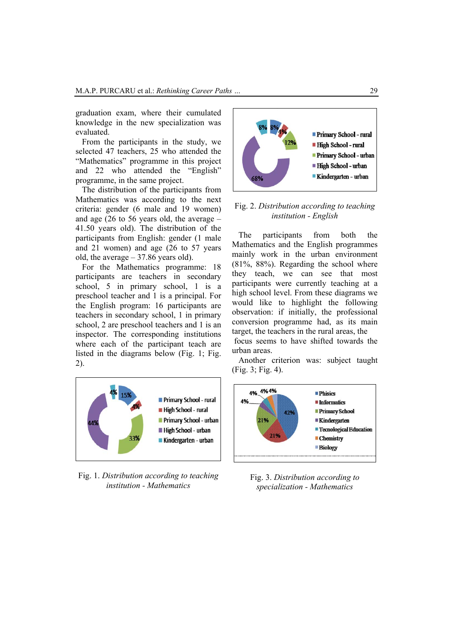graduation exam, where their cumulated knowledge in the new specialization was evaluated.

From the participants in the study, we selected 47 teachers, 25 who attended the "Mathematics" programme in this project and 22 who attended the "English" programme, in the same project.

The distribution of the participants from Mathematics was according to the next criteria: gender (6 male and 19 women) and age (26 to 56 years old, the average – 41.50 years old). The distribution of the participants from English: gender (1 male and 21 women) and age (26 to 57 years old, the average – 37.86 years old).

For the Mathematics programme: 18 participants are teachers in secondary school, 5 in primary school, 1 is a preschool teacher and 1 is a principal. For the English program: 16 participants are teachers in secondary school, 1 in primary school, 2 are preschool teachers and 1 is an inspector. The corresponding institutions where each of the participant teach are listed in the diagrams below (Fig. 1; Fig. 2).



Fig. 1. *Distribution according to teaching institution - Mathematics*



Fig. 2. *Distribution according to teaching institution - English*

The participants from both the Mathematics and the English programmes mainly work in the urban environment (81%, 88%). Regarding the school where they teach, we can see that most participants were currently teaching at a high school level. From these diagrams we would like to highlight the following observation: if initially, the professional conversion programme had, as its main target, the teachers in the rural areas, the focus seems to have shifted towards the urban areas.

Another criterion was: subject taught (Fig. 3; Fig. 4).



Fig. 3. *Distribution according to specialization - Mathematics*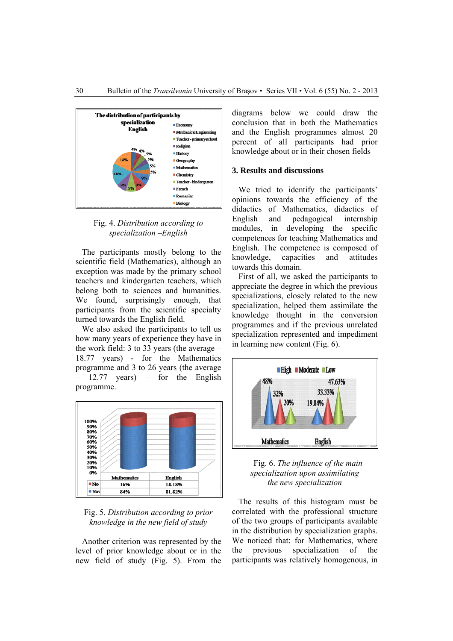



The participants mostly belong to the scientific field (Mathematics), although an exception was made by the primary school teachers and kindergarten teachers, which belong both to sciences and humanities. We found, surprisingly enough, that participants from the scientific specialty turned towards the English field.

We also asked the participants to tell us how many years of experience they have in the work field: 3 to 33 years (the average – 18.77 years) - for the Mathematics programme and 3 to 26 years (the average – 12.77 years) – for the English programme.



Fig. 5. *Distribution according to prior knowledge in the new field of study* 

Another criterion was represented by the level of prior knowledge about or in the new field of study (Fig. 5). From the

diagrams below we could draw the conclusion that in both the Mathematics and the English programmes almost 20 percent of all participants had prior knowledge about or in their chosen fields

#### **3. Results and discussions**

We tried to identify the participants' opinions towards the efficiency of the didactics of Mathematics, didactics of English and pedagogical internship modules, in developing the specific competences for teaching Mathematics and English. The competence is composed of knowledge, capacities and attitudes towards this domain.

First of all, we asked the participants to appreciate the degree in which the previous specializations, closely related to the new specialization, helped them assimilate the knowledge thought in the conversion programmes and if the previous unrelated specialization represented and impediment in learning new content (Fig. 6).



Fig. 6. *The influence of the main specialization upon assimilating the new specialization*

The results of this histogram must be correlated with the professional structure of the two groups of participants available in the distribution by specialization graphs. We noticed that: for Mathematics, where the previous specialization of the participants was relatively homogenous, in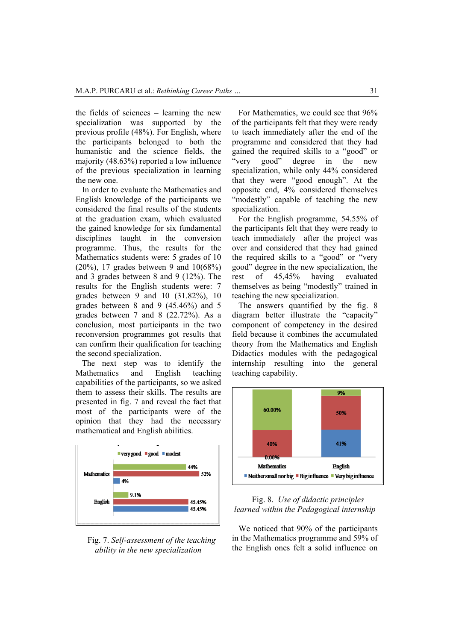the fields of sciences – learning the new specialization was supported by the previous profile (48%). For English, where the participants belonged to both the humanistic and the science fields, the majority (48.63%) reported a low influence of the previous specialization in learning the new one.

In order to evaluate the Mathematics and English knowledge of the participants we considered the final results of the students at the graduation exam, which evaluated the gained knowledge for six fundamental disciplines taught in the conversion programme. Thus, the results for the Mathematics students were: 5 grades of 10 (20%), 17 grades between 9 and 10(68%) and 3 grades between 8 and 9 (12%). The results for the English students were: 7 grades between 9 and 10 (31.82%), 10 grades between 8 and 9 (45.46%) and 5 grades between 7 and 8 (22.72%). As a conclusion, most participants in the two reconversion programmes got results that can confirm their qualification for teaching the second specialization.

The next step was to identify the Mathematics and English teaching capabilities of the participants, so we asked them to assess their skills. The results are presented in fig. 7 and reveal the fact that most of the participants were of the opinion that they had the necessary mathematical and English abilities.



#### Fig. 7. *Self-assessment of the teaching ability in the new specialization*

For Mathematics, we could see that 96% of the participants felt that they were ready to teach immediately after the end of the programme and considered that they had gained the required skills to a "good" or "very good" degree in the new specialization, while only 44% considered that they were "good enough". At the opposite end, 4% considered themselves "modestly" capable of teaching the new specialization.

For the English programme, 54.55% of the participants felt that they were ready to teach immediately after the project was over and considered that they had gained the required skills to a "good" or "very good" degree in the new specialization, the rest of 45,45% having evaluated themselves as being "modestly" trained in teaching the new specialization.

The answers quantified by the fig. 8 diagram better illustrate the "capacity" component of competency in the desired field because it combines the accumulated theory from the Mathematics and English Didactics modules with the pedagogical internship resulting into the general teaching capability.



#### Fig. 8. *Use of didactic principles learned within the Pedagogical internship*

We noticed that 90% of the participants in the Mathematics programme and 59% of the English ones felt a solid influence on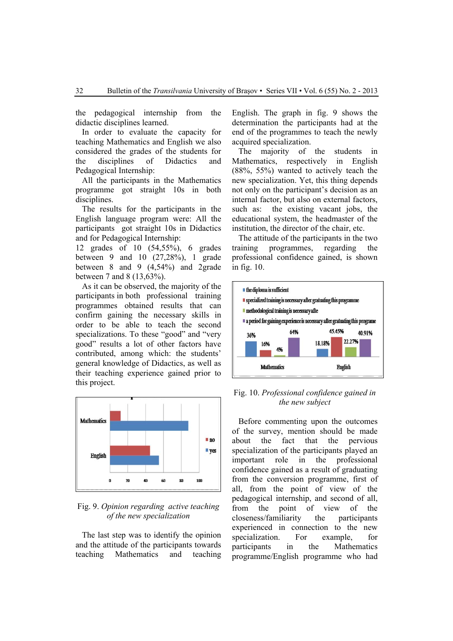the pedagogical internship from the didactic disciplines learned.

In order to evaluate the capacity for teaching Mathematics and English we also considered the grades of the students for the disciplines of Didactics and Pedagogical Internship:

All the participants in the Mathematics programme got straight 10s in both disciplines.

The results for the participants in the English language program were: All the participants got straight 10s in Didactics and for Pedagogical Internship:

12 grades of 10 (54,55%), 6 grades between 9 and 10 (27,28%), 1 grade between 8 and 9 (4,54%) and 2grade between 7 and 8 (13,63%).

As it can be observed, the majority of the participants in both professional training programmes obtained results that can confirm gaining the necessary skills in order to be able to teach the second specializations. To these "good" and "very good" results a lot of other factors have contributed, among which: the students' general knowledge of Didactics, as well as their teaching experience gained prior to this project.



# Fig. 9. *Opinion regarding active teaching of the new specialization*

The last step was to identify the opinion and the attitude of the participants towards teaching Mathematics and teaching

English. The graph in fig. 9 shows the determination the participants had at the end of the programmes to teach the newly acquired specialization.

The majority of the students in Mathematics, respectively in English (88%, 55%) wanted to actively teach the new specialization. Yet, this thing depends not only on the participant's decision as an internal factor, but also on external factors, such as: the existing vacant jobs, the educational system, the headmaster of the institution, the director of the chair, etc.

 The attitude of the participants in the two training programmes, regarding the professional confidence gained, is shown in fig. 10.



### Fig. 10. *Professional confidence gained in the new subject*

Before commenting upon the outcomes of the survey, mention should be made about the fact that the pervious specialization of the participants played an important role in the professional confidence gained as a result of graduating from the conversion programme, first of all, from the point of view of the pedagogical internship, and second of all, from the point of view of the closeness/familiarity the participants experienced in connection to the new specialization. For example, for participants in the Mathematics programme/English programme who had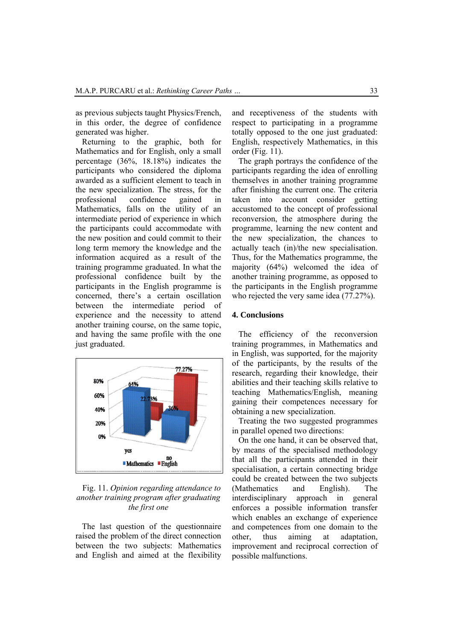as previous subjects taught Physics/French, in this order, the degree of confidence generated was higher.

Returning to the graphic, both for Mathematics and for English, only a small percentage (36%, 18.18%) indicates the participants who considered the diploma awarded as a sufficient element to teach in the new specialization. The stress, for the professional confidence gained in Mathematics, falls on the utility of an intermediate period of experience in which the participants could accommodate with the new position and could commit to their long term memory the knowledge and the information acquired as a result of the training programme graduated. In what the professional confidence built by the participants in the English programme is concerned, there's a certain oscillation between the intermediate period of experience and the necessity to attend another training course, on the same topic, and having the same profile with the one just graduated.



Fig. 11. *Opinion regarding attendance to another training program after graduating the first one*

The last question of the questionnaire raised the problem of the direct connection between the two subjects: Mathematics and English and aimed at the flexibility

and receptiveness of the students with respect to participating in a programme totally opposed to the one just graduated: English, respectively Mathematics, in this order (Fig. 11).

The graph portrays the confidence of the participants regarding the idea of enrolling themselves in another training programme after finishing the current one. The criteria taken into account consider getting accustomed to the concept of professional reconversion, the atmosphere during the programme, learning the new content and the new specialization, the chances to actually teach (in)/the new specialisation. Thus, for the Mathematics programme, the majority (64%) welcomed the idea of another training programme, as opposed to the participants in the English programme who rejected the very same idea (77.27%).

# **4. Conclusions**

The efficiency of the reconversion training programmes, in Mathematics and in English, was supported, for the majority of the participants, by the results of the research, regarding their knowledge, their abilities and their teaching skills relative to teaching Mathematics/English, meaning gaining their competences necessary for obtaining a new specialization.

Treating the two suggested programmes in parallel opened two directions:

On the one hand, it can be observed that, by means of the specialised methodology that all the participants attended in their specialisation, a certain connecting bridge could be created between the two subjects (Mathematics and English). The interdisciplinary approach in general enforces a possible information transfer which enables an exchange of experience and competences from one domain to the other, thus aiming at adaptation, improvement and reciprocal correction of possible malfunctions.